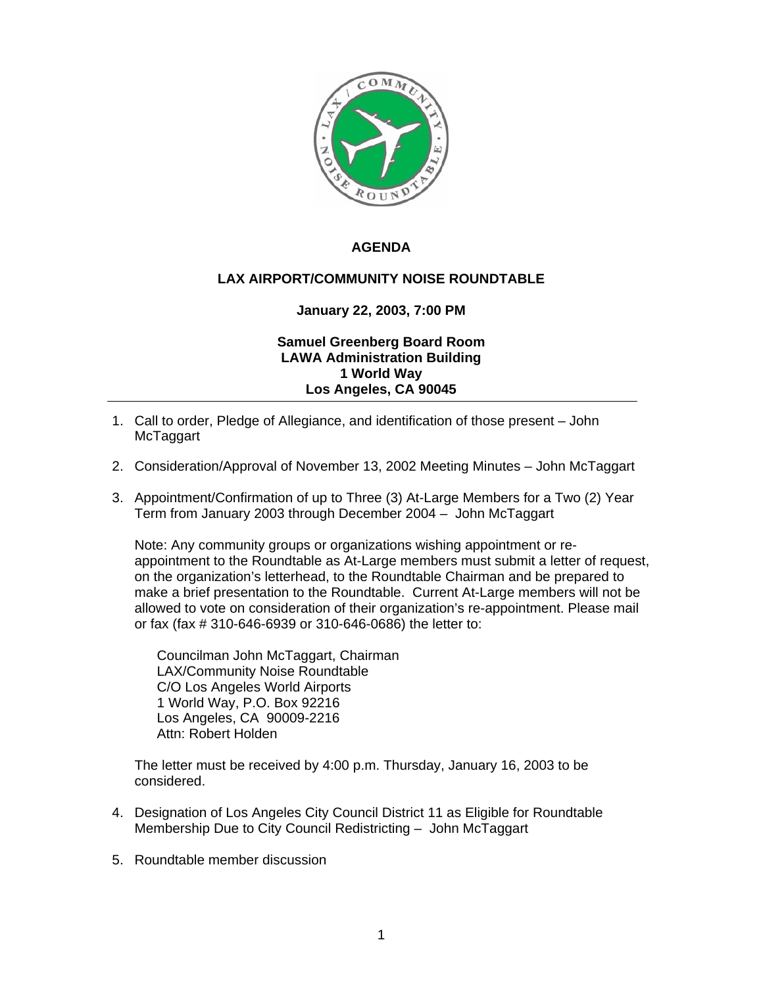

## **AGENDA**

## **LAX AIRPORT/COMMUNITY NOISE ROUNDTABLE**

## **January 22, 2003, 7:00 PM**

## **Samuel Greenberg Board Room LAWA Administration Building 1 World Way Los Angeles, CA 90045**

- 1. Call to order, Pledge of Allegiance, and identification of those present John **McTaggart**
- 2. Consideration/Approval of November 13, 2002 Meeting Minutes John McTaggart
- 3. Appointment/Confirmation of up to Three (3) At-Large Members for a Two (2) Year Term from January 2003 through December 2004 – John McTaggart

Note: Any community groups or organizations wishing appointment or reappointment to the Roundtable as At-Large members must submit a letter of request, on the organization's letterhead, to the Roundtable Chairman and be prepared to make a brief presentation to the Roundtable. Current At-Large members will not be allowed to vote on consideration of their organization's re-appointment. Please mail or fax (fax # 310-646-6939 or 310-646-0686) the letter to:

Councilman John McTaggart, Chairman LAX/Community Noise Roundtable C/O Los Angeles World Airports 1 World Way, P.O. Box 92216 Los Angeles, CA 90009-2216 Attn: Robert Holden

The letter must be received by 4:00 p.m. Thursday, January 16, 2003 to be considered.

- 4. Designation of Los Angeles City Council District 11 as Eligible for Roundtable Membership Due to City Council Redistricting – John McTaggart
- 5. Roundtable member discussion